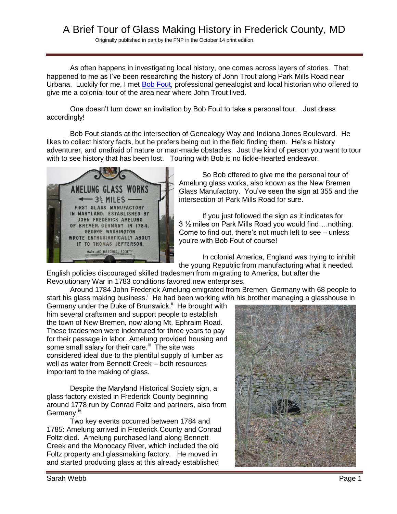# A Brief Tour of Glass Making History in Frederick County, MD

Originally published in part by the FNP in the October 14 print edition.

As often happens in investigating local history, one comes across layers of stories. That happened to me as I've been researching the history of John Trout along Park Mills Road near Urbana. Luckily for me, I met [Bob Fout,](http://www.bobfoutgenealogy.com/) professional genealogist and local historian who offered to give me a colonial tour of the area near where John Trout lived.

One doesn't turn down an invitation by Bob Fout to take a personal tour. Just dress accordingly!

Bob Fout stands at the intersection of Genealogy Way and Indiana Jones Boulevard. He likes to collect history facts, but he prefers being out in the field finding them. He's a history adventurer, and unafraid of nature or man-made obstacles. Just the kind of person you want to tour with to see history that has been lost. Touring with Bob is no fickle-hearted endeavor.



So Bob offered to give me the personal tour of Amelung glass works, also known as the New Bremen Glass Manufactory. You've seen the sign at 355 and the intersection of Park Mills Road for sure.

If you just followed the sign as it indicates for 3 ½ miles on Park Mills Road you would find….nothing. Come to find out, there's not much left to see – unless you're with Bob Fout of course!

In colonial America, England was trying to inhibit the young Republic from manufacturing what it needed.

English policies discouraged skilled tradesmen from migrating to America, but after the Revolutionary War in 1783 conditions favored new enterprises.

Around 1784 John Frederick Amelung emigrated from Bremen, Germany with 68 people to start his glass making business.<sup>i</sup> He had been working with his brother managing a glasshouse in

Germany under the Duke of Brunswick.<sup>ii</sup> He brought with him several craftsmen and support people to establish the town of New Bremen, now along Mt. Ephraim Road. These tradesmen were indentured for three years to pay for their passage in labor. Amelung provided housing and some small salary for their care.<sup>iii</sup> The site was considered ideal due to the plentiful supply of lumber as well as water from Bennett Creek – both resources important to the making of glass.

Despite the Maryland Historical Society sign, a glass factory existed in Frederick County beginning around 1778 run by Conrad Foltz and partners, also from Germany.<sup>iv</sup>

Two key events occurred between 1784 and 1785: Amelung arrived in Frederick County and Conrad Foltz died. Amelung purchased land along Bennett Creek and the Monocacy River, which included the old Foltz property and glassmaking factory. He moved in and started producing glass at this already established

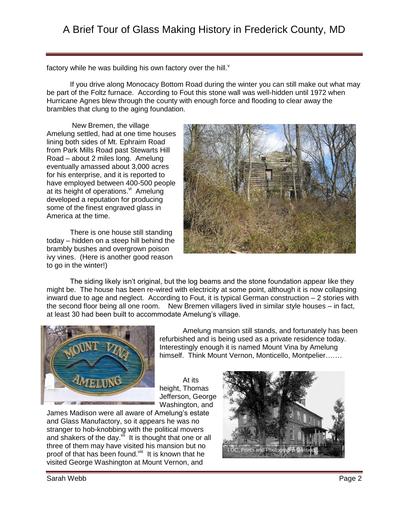factory while he was building his own factory over the hill. $v$ 

If you drive along Monocacy Bottom Road during the winter you can still make out what may be part of the Foltz furnace. According to Fout this stone wall was well-hidden until 1972 when Hurricane Agnes blew through the county with enough force and flooding to clear away the brambles that clung to the aging foundation.

New Bremen, the village Amelung settled, had at one time houses lining both sides of Mt. Ephraim Road from Park Mills Road past Stewarts Hill Road – about 2 miles long. Amelung eventually amassed about 3,000 acres for his enterprise, and it is reported to have employed between 400-500 people at its height of operations.<sup>vi</sup> Amelung developed a reputation for producing some of the finest engraved glass in America at the time.

There is one house still standing today – hidden on a steep hill behind the brambly bushes and overgrown poison ivy vines. (Here is another good reason to go in the winter!)



The siding likely isn't original, but the log beams and the stone foundation appear like they might be. The house has been re-wired with electricity at some point, although it is now collapsing inward due to age and neglect. According to Fout, it is typical German construction – 2 stories with the second floor being all one room. New Bremen villagers lived in similar style houses – in fact, at least 30 had been built to accommodate Amelung's village.



Amelung mansion still stands, and fortunately has been refurbished and is being used as a private residence today. Interestingly enough it is named Mount Vina by Amelung himself. Think Mount Vernon, Monticello, Montpelier…….

At its height, Thomas Jefferson, George Washington, and

James Madison were all aware of Amelung's estate and Glass Manufactory, so it appears he was no stranger to hob-knobbing with the political movers and shakers of the day. $\sqrt[n]{u}$  It is thought that one or all three of them may have visited his mansion but no proof of that has been found. Vill It is known that he visited George Washington at Mount Vernon, and

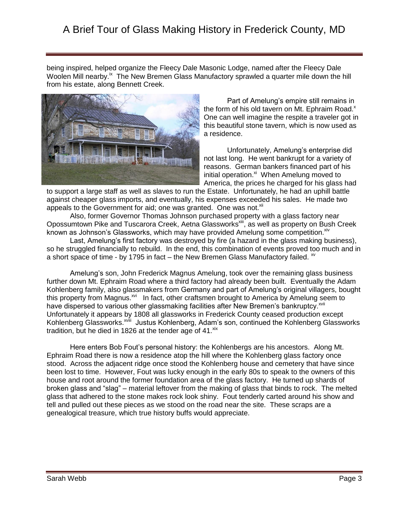# A Brief Tour of Glass Making History in Frederick County, MD

being inspired, helped organize the Fleecy Dale Masonic Lodge, named after the Fleecy Dale Woolen Mill nearby.<sup>ix</sup> The New Bremen Glass Manufactory sprawled a quarter mile down the hill from his estate, along Bennett Creek.



 Part of Amelung's empire still remains in the form of his old tavern on Mt. Ephraim Road. $^{x}$ One can well imagine the respite a traveler got in this beautiful stone tavern, which is now used as a residence.

Unfortunately, Amelung's enterprise did not last long. He went bankrupt for a variety of reasons. German bankers financed part of his initial operation.<sup>xi</sup> When Amelung moved to America, the prices he charged for his glass had

to support a large staff as well as slaves to run the Estate. Unfortunately, he had an uphill battle against cheaper glass imports, and eventually, his expenses exceeded his sales. He made two appeals to the Government for aid; one was granted. One was not.<sup>xii</sup>

Also, former Governor Thomas Johnson purchased property with a glass factory near Opossumtown Pike and Tuscarora Creek, Aetna Glassworks<sup>xiii</sup>, as well as property on Bush Creek known as Johnson's Glassworks, which may have provided Amelung some competition. Xiv

Last, Amelung's first factory was destroyed by fire (a hazard in the glass making business), so he struggled financially to rebuild. In the end, this combination of events proved too much and in a short space of time - by 1795 in fact – the New Bremen Glass Manufactory failed.  $\frac{1}{2}$ 

Amelung's son, John Frederick Magnus Amelung, took over the remaining glass business further down Mt. Ephraim Road where a third factory had already been built. Eventually the Adam Kohlenberg family, also glassmakers from Germany and part of Amelung's original villagers, bought this property from Magnus.<sup>xvi</sup> In fact, other craftsmen brought to America by Amelung seem to have dispersed to various other glassmaking facilities after New Bremen's bankruptcy.<sup>xvii</sup> Unfortunately it appears by 1808 all glassworks in Frederick County ceased production except Kohlenberg Glassworks.<sup>xviii</sup> Justus Kohlenberg, Adam's son, continued the Kohlenberg Glassworks tradition, but he died in 1826 at the tender age of  $41.^{\text{xx}}$ 

Here enters Bob Fout's personal history: the Kohlenbergs are his ancestors. Along Mt. Ephraim Road there is now a residence atop the hill where the Kohlenberg glass factory once stood. Across the adjacent ridge once stood the Kohlenberg house and cemetery that have since been lost to time. However, Fout was lucky enough in the early 80s to speak to the owners of this house and root around the former foundation area of the glass factory. He turned up shards of broken glass and "slag" – material leftover from the making of glass that binds to rock. The melted glass that adhered to the stone makes rock look shiny. Fout tenderly carted around his show and tell and pulled out these pieces as we stood on the road near the site. These scraps are a genealogical treasure, which true history buffs would appreciate.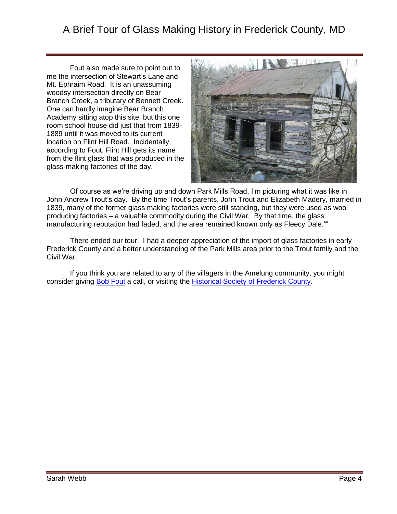## A Brief Tour of Glass Making History in Frederick County, MD

Fout also made sure to point out to me the intersection of Stewart's Lane and Mt. Ephraim Road. It is an unassuming woodsy intersection directly on Bear Branch Creek, a tributary of Bennett Creek. One can hardly imagine Bear Branch Academy sitting atop this site, but this one room school house did just that from 1839- 1889 until it was moved to its current location on Flint Hill Road. Incidentally, according to Fout, Flint Hill gets its name from the flint glass that was produced in the glass-making factories of the day.



Of course as we're driving up and down Park Mills Road, I'm picturing what it was like in John Andrew Trout's day. By the time Trout's parents, John Trout and Elizabeth Madery, married in 1839, many of the former glass making factories were still standing, but they were used as wool producing factories – a valuable commodity during the Civil War. By that time, the glass manufacturing reputation had faded, and the area remained known only as Fleecy Dale.<sup>xx</sup>

There ended our tour. I had a deeper appreciation of the import of glass factories in early Frederick County and a better understanding of the Park Mills area prior to the Trout family and the Civil War.

If you think you are related to any of the villagers in the Amelung community, you might consider giving **Bob Fout** a call, or visiting the **Historical Society of Frederick County**.